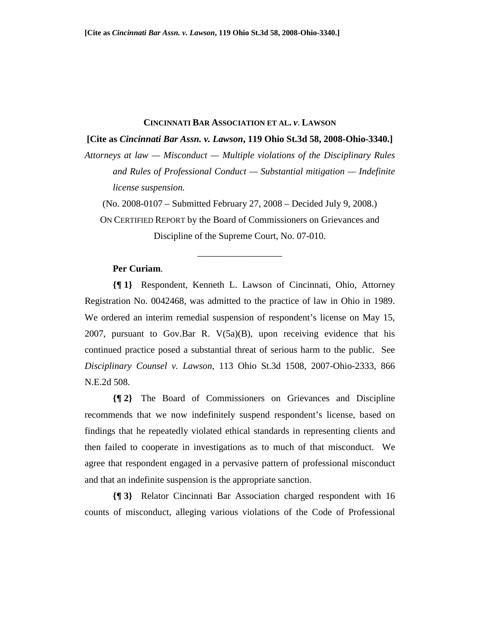#### **CINCINNATI BAR ASSOCIATION ET AL.** *v*. **LAWSON**

**[Cite as** *Cincinnati Bar Assn. v. Lawson***, 119 Ohio St.3d 58, 2008-Ohio-3340.]**

*Attorneys at law — Misconduct — Multiple violations of the Disciplinary Rules and Rules of Professional Conduct — Substantial mitigation — Indefinite license suspension.* 

(No. 2008-0107 – Submitted February 27, 2008 – Decided July 9, 2008.)

ON CERTIFIED REPORT by the Board of Commissioners on Grievances and Discipline of the Supreme Court, No. 07-010.

\_\_\_\_\_\_\_\_\_\_\_\_\_\_\_\_\_\_

## **Per Curiam**.

**{¶ 1}** Respondent, Kenneth L. Lawson of Cincinnati, Ohio, Attorney Registration No. 0042468, was admitted to the practice of law in Ohio in 1989. We ordered an interim remedial suspension of respondent's license on May 15, 2007, pursuant to Gov.Bar R. V(5a)(B), upon receiving evidence that his continued practice posed a substantial threat of serious harm to the public. See *Disciplinary Counsel v. Lawson*, 113 Ohio St.3d 1508, 2007-Ohio-2333, 866 N.E.2d 508.

**{¶ 2}** The Board of Commissioners on Grievances and Discipline recommends that we now indefinitely suspend respondent's license, based on findings that he repeatedly violated ethical standards in representing clients and then failed to cooperate in investigations as to much of that misconduct. We agree that respondent engaged in a pervasive pattern of professional misconduct and that an indefinite suspension is the appropriate sanction.

**{¶ 3}** Relator Cincinnati Bar Association charged respondent with 16 counts of misconduct, alleging various violations of the Code of Professional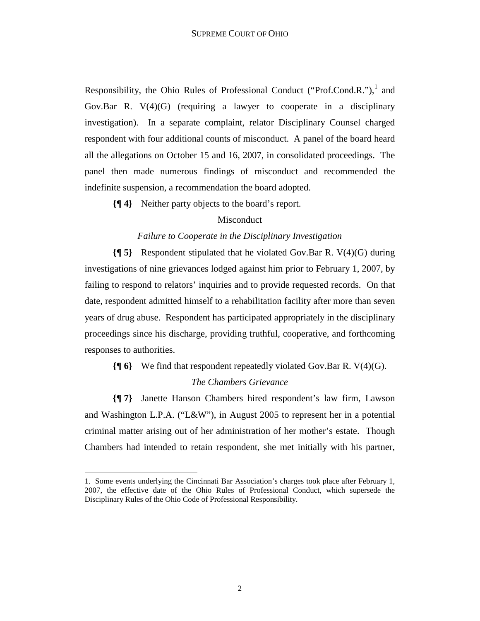Responsibility, the Ohio Rules of Professional Conduct ("Prof.Cond.R."), $^1$  and Gov.Bar R.  $V(4)(G)$  (requiring a lawyer to cooperate in a disciplinary investigation). In a separate complaint, relator Disciplinary Counsel charged respondent with four additional counts of misconduct. A panel of the board heard all the allegations on October 15 and 16, 2007, in consolidated proceedings. The panel then made numerous findings of misconduct and recommended the indefinite suspension, a recommendation the board adopted.

**{¶ 4}** Neither party objects to the board's report.

## Misconduct

## *Failure to Cooperate in the Disciplinary Investigation*

**{¶ 5}** Respondent stipulated that he violated Gov.Bar R. V(4)(G) during investigations of nine grievances lodged against him prior to February 1, 2007, by failing to respond to relators' inquiries and to provide requested records. On that date, respondent admitted himself to a rehabilitation facility after more than seven years of drug abuse. Respondent has participated appropriately in the disciplinary proceedings since his discharge, providing truthful, cooperative, and forthcoming responses to authorities.

# **{¶ 6}** We find that respondent repeatedly violated Gov.Bar R. V(4)(G). *The Chambers Grievance*

**{¶ 7}** Janette Hanson Chambers hired respondent's law firm, Lawson and Washington L.P.A. ("L&W"), in August 2005 to represent her in a potential criminal matter arising out of her administration of her mother's estate. Though Chambers had intended to retain respondent, she met initially with his partner,

<u>.</u>

<sup>1.</sup> Some events underlying the Cincinnati Bar Association's charges took place after February 1, 2007, the effective date of the Ohio Rules of Professional Conduct, which supersede the Disciplinary Rules of the Ohio Code of Professional Responsibility.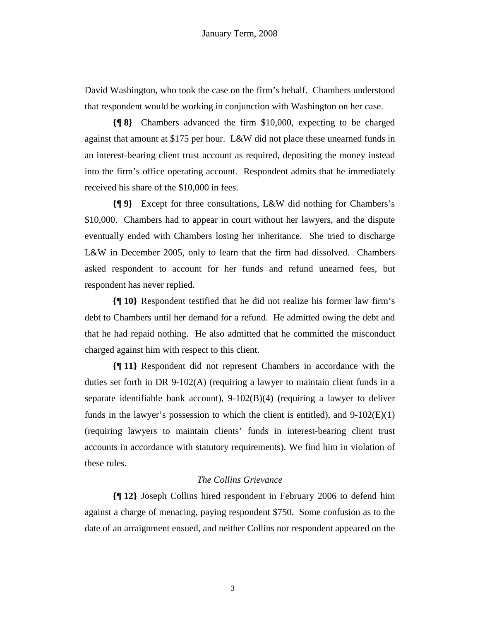David Washington, who took the case on the firm's behalf. Chambers understood that respondent would be working in conjunction with Washington on her case.

**{¶ 8}** Chambers advanced the firm \$10,000, expecting to be charged against that amount at \$175 per hour. L&W did not place these unearned funds in an interest-bearing client trust account as required, depositing the money instead into the firm's office operating account. Respondent admits that he immediately received his share of the \$10,000 in fees.

**{¶ 9}** Except for three consultations, L&W did nothing for Chambers's \$10,000. Chambers had to appear in court without her lawyers, and the dispute eventually ended with Chambers losing her inheritance. She tried to discharge L&W in December 2005, only to learn that the firm had dissolved. Chambers asked respondent to account for her funds and refund unearned fees, but respondent has never replied.

**{¶ 10}** Respondent testified that he did not realize his former law firm's debt to Chambers until her demand for a refund. He admitted owing the debt and that he had repaid nothing. He also admitted that he committed the misconduct charged against him with respect to this client.

**{¶ 11}** Respondent did not represent Chambers in accordance with the duties set forth in DR 9-102(A) (requiring a lawyer to maintain client funds in a separate identifiable bank account), 9-102(B)(4) (requiring a lawyer to deliver funds in the lawyer's possession to which the client is entitled), and  $9-102(E)(1)$ (requiring lawyers to maintain clients' funds in interest-bearing client trust accounts in accordance with statutory requirements). We find him in violation of these rules.

## *The Collins Grievance*

**{¶ 12}** Joseph Collins hired respondent in February 2006 to defend him against a charge of menacing, paying respondent \$750. Some confusion as to the date of an arraignment ensued, and neither Collins nor respondent appeared on the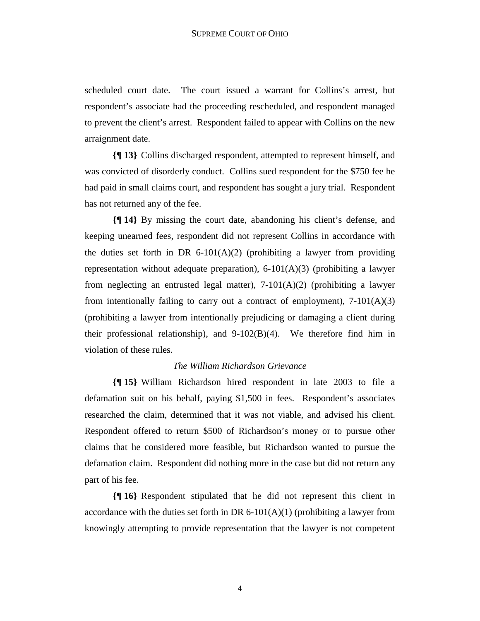scheduled court date. The court issued a warrant for Collins's arrest, but respondent's associate had the proceeding rescheduled, and respondent managed to prevent the client's arrest. Respondent failed to appear with Collins on the new arraignment date.

**{¶ 13}** Collins discharged respondent, attempted to represent himself, and was convicted of disorderly conduct. Collins sued respondent for the \$750 fee he had paid in small claims court, and respondent has sought a jury trial. Respondent has not returned any of the fee.

**{¶ 14}** By missing the court date, abandoning his client's defense, and keeping unearned fees, respondent did not represent Collins in accordance with the duties set forth in DR 6-101(A)(2) (prohibiting a lawyer from providing representation without adequate preparation),  $6-101(A)(3)$  (prohibiting a lawyer from neglecting an entrusted legal matter),  $7-101(A)(2)$  (prohibiting a lawyer from intentionally failing to carry out a contract of employment),  $7-101(A)(3)$ (prohibiting a lawyer from intentionally prejudicing or damaging a client during their professional relationship), and  $9-102(B)(4)$ . We therefore find him in violation of these rules.

## *The William Richardson Grievance*

**{¶ 15}** William Richardson hired respondent in late 2003 to file a defamation suit on his behalf, paying \$1,500 in fees. Respondent's associates researched the claim, determined that it was not viable, and advised his client. Respondent offered to return \$500 of Richardson's money or to pursue other claims that he considered more feasible, but Richardson wanted to pursue the defamation claim. Respondent did nothing more in the case but did not return any part of his fee.

**{¶ 16}** Respondent stipulated that he did not represent this client in accordance with the duties set forth in DR  $6-101(A)(1)$  (prohibiting a lawyer from knowingly attempting to provide representation that the lawyer is not competent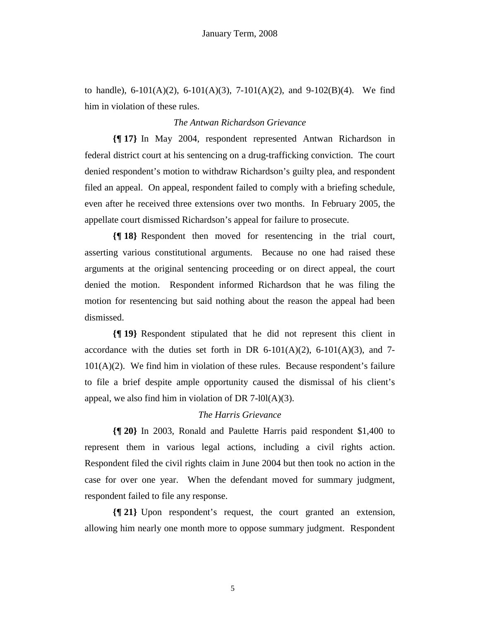to handle),  $6-101(A)(2)$ ,  $6-101(A)(3)$ ,  $7-101(A)(2)$ , and  $9-102(B)(4)$ . We find him in violation of these rules.

## *The Antwan Richardson Grievance*

**{¶ 17}** In May 2004, respondent represented Antwan Richardson in federal district court at his sentencing on a drug-trafficking conviction. The court denied respondent's motion to withdraw Richardson's guilty plea, and respondent filed an appeal. On appeal, respondent failed to comply with a briefing schedule, even after he received three extensions over two months. In February 2005, the appellate court dismissed Richardson's appeal for failure to prosecute.

**{¶ 18}** Respondent then moved for resentencing in the trial court, asserting various constitutional arguments. Because no one had raised these arguments at the original sentencing proceeding or on direct appeal, the court denied the motion. Respondent informed Richardson that he was filing the motion for resentencing but said nothing about the reason the appeal had been dismissed.

**{¶ 19}** Respondent stipulated that he did not represent this client in accordance with the duties set forth in DR  $6-101(A)(2)$ ,  $6-101(A)(3)$ , and 7-101(A)(2). We find him in violation of these rules. Because respondent's failure to file a brief despite ample opportunity caused the dismissal of his client's appeal, we also find him in violation of DR 7- $10I(A)(3)$ .

# *The Harris Grievance*

**{¶ 20}** In 2003, Ronald and Paulette Harris paid respondent \$1,400 to represent them in various legal actions, including a civil rights action. Respondent filed the civil rights claim in June 2004 but then took no action in the case for over one year. When the defendant moved for summary judgment, respondent failed to file any response.

**{¶ 21}** Upon respondent's request, the court granted an extension, allowing him nearly one month more to oppose summary judgment. Respondent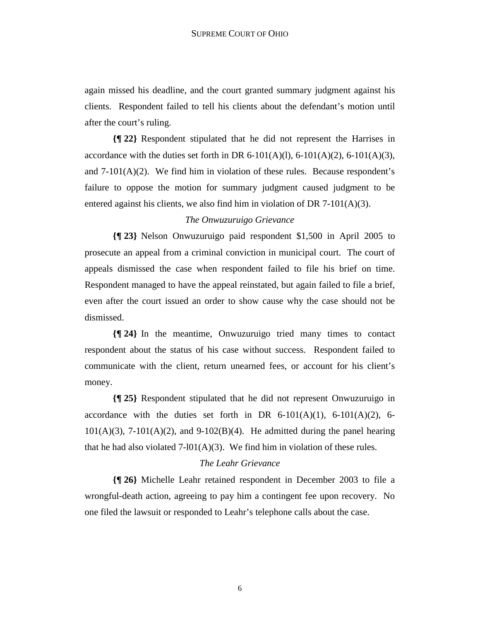again missed his deadline, and the court granted summary judgment against his clients. Respondent failed to tell his clients about the defendant's motion until after the court's ruling.

**{¶ 22}** Respondent stipulated that he did not represent the Harrises in accordance with the duties set forth in DR 6-101(A)(1), 6-101(A)(2), 6-101(A)(3), and  $7-101(A)(2)$ . We find him in violation of these rules. Because respondent's failure to oppose the motion for summary judgment caused judgment to be entered against his clients, we also find him in violation of DR  $7-101(A)(3)$ .

## *The Onwuzuruigo Grievance*

**{¶ 23}** Nelson Onwuzuruigo paid respondent \$1,500 in April 2005 to prosecute an appeal from a criminal conviction in municipal court. The court of appeals dismissed the case when respondent failed to file his brief on time. Respondent managed to have the appeal reinstated, but again failed to file a brief, even after the court issued an order to show cause why the case should not be dismissed.

**{¶ 24}** In the meantime, Onwuzuruigo tried many times to contact respondent about the status of his case without success. Respondent failed to communicate with the client, return unearned fees, or account for his client's money.

**{¶ 25}** Respondent stipulated that he did not represent Onwuzuruigo in accordance with the duties set forth in DR  $6-101(A)(1)$ ,  $6-101(A)(2)$ ,  $6-101(A)(2)$  $101(A)(3)$ ,  $7-101(A)(2)$ , and  $9-102(B)(4)$ . He admitted during the panel hearing that he had also violated  $7-101(A)(3)$ . We find him in violation of these rules.

## *The Leahr Grievance*

**{¶ 26}** Michelle Leahr retained respondent in December 2003 to file a wrongful-death action, agreeing to pay him a contingent fee upon recovery. No one filed the lawsuit or responded to Leahr's telephone calls about the case.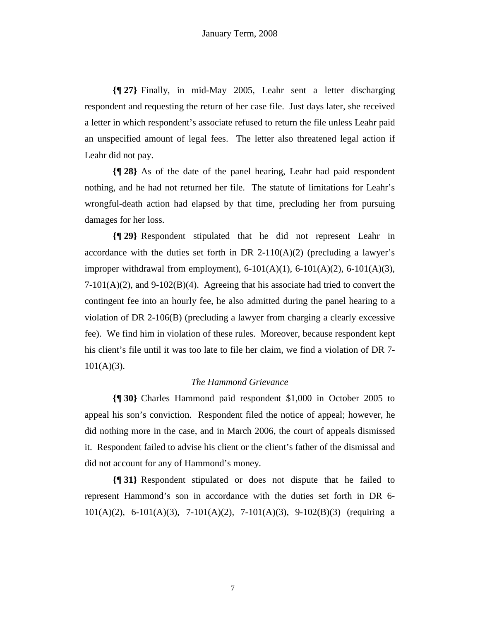**{¶ 27}** Finally, in mid-May 2005, Leahr sent a letter discharging respondent and requesting the return of her case file. Just days later, she received a letter in which respondent's associate refused to return the file unless Leahr paid an unspecified amount of legal fees. The letter also threatened legal action if Leahr did not pay.

**{¶ 28}** As of the date of the panel hearing, Leahr had paid respondent nothing, and he had not returned her file. The statute of limitations for Leahr's wrongful-death action had elapsed by that time, precluding her from pursuing damages for her loss.

**{¶ 29}** Respondent stipulated that he did not represent Leahr in accordance with the duties set forth in DR 2-110(A)(2) (precluding a lawyer's improper withdrawal from employment),  $6-101(A)(1)$ ,  $6-101(A)(2)$ ,  $6-101(A)(3)$ ,  $7-101(A)(2)$ , and  $9-102(B)(4)$ . Agreeing that his associate had tried to convert the contingent fee into an hourly fee, he also admitted during the panel hearing to a violation of DR 2-106(B) (precluding a lawyer from charging a clearly excessive fee). We find him in violation of these rules. Moreover, because respondent kept his client's file until it was too late to file her claim, we find a violation of DR 7-  $101(A)(3)$ .

## *The Hammond Grievance*

**{¶ 30}** Charles Hammond paid respondent \$1,000 in October 2005 to appeal his son's conviction. Respondent filed the notice of appeal; however, he did nothing more in the case, and in March 2006, the court of appeals dismissed it. Respondent failed to advise his client or the client's father of the dismissal and did not account for any of Hammond's money.

**{¶ 31}** Respondent stipulated or does not dispute that he failed to represent Hammond's son in accordance with the duties set forth in DR 6- 101(A)(2), 6-101(A)(3), 7-101(A)(2), 7-101(A)(3), 9-102(B)(3) (requiring a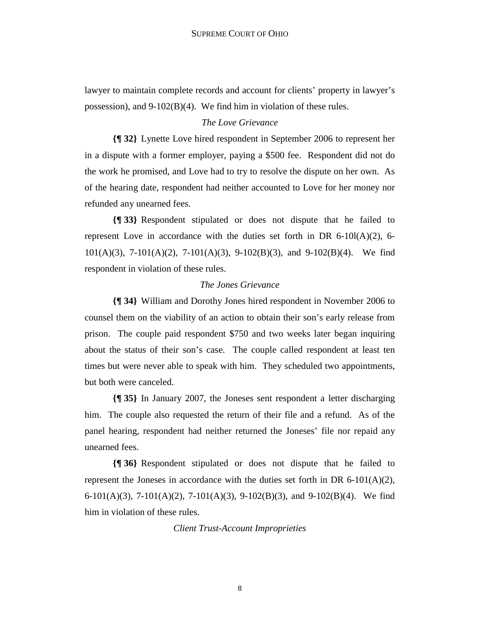lawyer to maintain complete records and account for clients' property in lawyer's possession), and 9-102(B)(4). We find him in violation of these rules.

## *The Love Grievance*

**{¶ 32}** Lynette Love hired respondent in September 2006 to represent her in a dispute with a former employer, paying a \$500 fee. Respondent did not do the work he promised, and Love had to try to resolve the dispute on her own. As of the hearing date, respondent had neither accounted to Love for her money nor refunded any unearned fees.

**{¶ 33}** Respondent stipulated or does not dispute that he failed to represent Love in accordance with the duties set forth in DR  $6-10I(A)(2)$ , 6-101(A)(3), 7-101(A)(2), 7-101(A)(3), 9-102(B)(3), and 9-102(B)(4). We find respondent in violation of these rules.

## *The Jones Grievance*

**{¶ 34}** William and Dorothy Jones hired respondent in November 2006 to counsel them on the viability of an action to obtain their son's early release from prison. The couple paid respondent \$750 and two weeks later began inquiring about the status of their son's case. The couple called respondent at least ten times but were never able to speak with him. They scheduled two appointments, but both were canceled.

**{¶ 35}** In January 2007, the Joneses sent respondent a letter discharging him. The couple also requested the return of their file and a refund. As of the panel hearing, respondent had neither returned the Joneses' file nor repaid any unearned fees.

**{¶ 36}** Respondent stipulated or does not dispute that he failed to represent the Joneses in accordance with the duties set forth in DR  $6-101(A)(2)$ , 6-101(A)(3), 7-101(A)(2), 7-101(A)(3), 9-102(B)(3), and 9-102(B)(4). We find him in violation of these rules.

*Client Trust-Account Improprieties*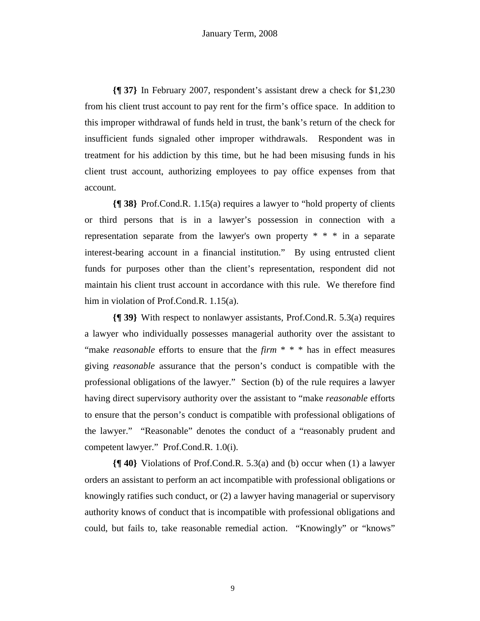**{¶ 37}** In February 2007, respondent's assistant drew a check for \$1,230 from his client trust account to pay rent for the firm's office space. In addition to this improper withdrawal of funds held in trust, the bank's return of the check for insufficient funds signaled other improper withdrawals. Respondent was in treatment for his addiction by this time, but he had been misusing funds in his client trust account, authorizing employees to pay office expenses from that account.

**{¶ 38}** Prof.Cond.R. 1.15(a) requires a lawyer to "hold property of clients or third persons that is in a lawyer's possession in connection with a representation separate from the lawyer's own property \* \* \* in a separate interest-bearing account in a financial institution." By using entrusted client funds for purposes other than the client's representation, respondent did not maintain his client trust account in accordance with this rule. We therefore find him in violation of Prof.Cond.R. 1.15(a).

**{¶ 39}** With respect to nonlawyer assistants, Prof.Cond.R. 5.3(a) requires a lawyer who individually possesses managerial authority over the assistant to "make *reasonable* efforts to ensure that the *firm* \* \* \* has in effect measures giving *reasonable* assurance that the person's conduct is compatible with the professional obligations of the lawyer." Section (b) of the rule requires a lawyer having direct supervisory authority over the assistant to "make *reasonable* efforts to ensure that the person's conduct is compatible with professional obligations of the lawyer." "Reasonable" denotes the conduct of a "reasonably prudent and competent lawyer." Prof.Cond.R. 1.0(i).

**{¶ 40}** Violations of Prof.Cond.R. 5.3(a) and (b) occur when (1) a lawyer orders an assistant to perform an act incompatible with professional obligations or knowingly ratifies such conduct, or (2) a lawyer having managerial or supervisory authority knows of conduct that is incompatible with professional obligations and could, but fails to, take reasonable remedial action. "Knowingly" or "knows"

9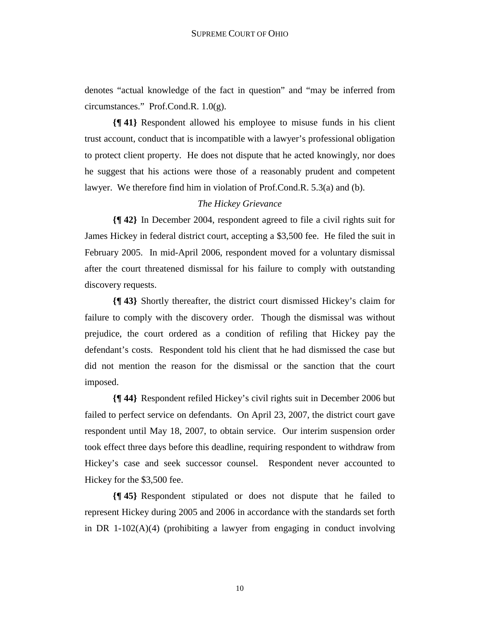denotes "actual knowledge of the fact in question" and "may be inferred from circumstances." Prof.Cond.R. 1.0(g).

**{¶ 41}** Respondent allowed his employee to misuse funds in his client trust account, conduct that is incompatible with a lawyer's professional obligation to protect client property. He does not dispute that he acted knowingly, nor does he suggest that his actions were those of a reasonably prudent and competent lawyer. We therefore find him in violation of Prof.Cond.R. 5.3(a) and (b).

# *The Hickey Grievance*

**{¶ 42}** In December 2004, respondent agreed to file a civil rights suit for James Hickey in federal district court, accepting a \$3,500 fee. He filed the suit in February 2005. In mid-April 2006, respondent moved for a voluntary dismissal after the court threatened dismissal for his failure to comply with outstanding discovery requests.

**{¶ 43}** Shortly thereafter, the district court dismissed Hickey's claim for failure to comply with the discovery order. Though the dismissal was without prejudice, the court ordered as a condition of refiling that Hickey pay the defendant's costs. Respondent told his client that he had dismissed the case but did not mention the reason for the dismissal or the sanction that the court imposed.

**{¶ 44}** Respondent refiled Hickey's civil rights suit in December 2006 but failed to perfect service on defendants. On April 23, 2007, the district court gave respondent until May 18, 2007, to obtain service. Our interim suspension order took effect three days before this deadline, requiring respondent to withdraw from Hickey's case and seek successor counsel. Respondent never accounted to Hickey for the \$3,500 fee.

**{¶ 45}** Respondent stipulated or does not dispute that he failed to represent Hickey during 2005 and 2006 in accordance with the standards set forth in DR  $1-102(A)(4)$  (prohibiting a lawyer from engaging in conduct involving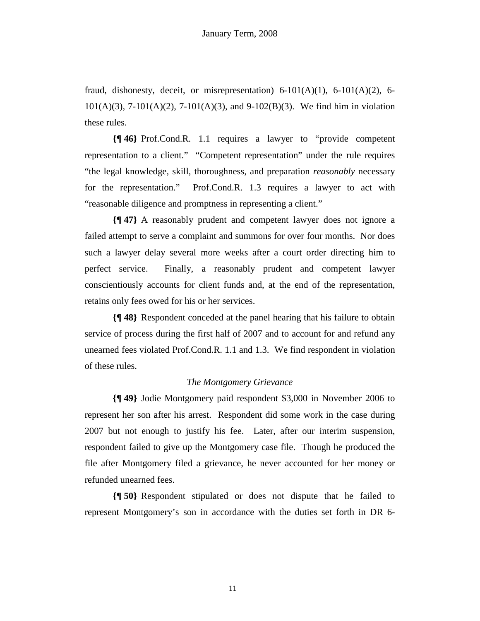fraud, dishonesty, deceit, or misrepresentation)  $6-101(A)(1)$ ,  $6-101(A)(2)$ ,  $6-$ 101(A)(3), 7-101(A)(2), 7-101(A)(3), and 9-102(B)(3). We find him in violation these rules.

**{¶ 46}** Prof.Cond.R. 1.1 requires a lawyer to "provide competent representation to a client." "Competent representation" under the rule requires "the legal knowledge, skill, thoroughness, and preparation *reasonably* necessary for the representation." Prof.Cond.R. 1.3 requires a lawyer to act with "reasonable diligence and promptness in representing a client."

**{¶ 47}** A reasonably prudent and competent lawyer does not ignore a failed attempt to serve a complaint and summons for over four months. Nor does such a lawyer delay several more weeks after a court order directing him to perfect service. Finally, a reasonably prudent and competent lawyer conscientiously accounts for client funds and, at the end of the representation, retains only fees owed for his or her services.

**{¶ 48}** Respondent conceded at the panel hearing that his failure to obtain service of process during the first half of 2007 and to account for and refund any unearned fees violated Prof.Cond.R. 1.1 and 1.3. We find respondent in violation of these rules.

## *The Montgomery Grievance*

**{¶ 49}** Jodie Montgomery paid respondent \$3,000 in November 2006 to represent her son after his arrest. Respondent did some work in the case during 2007 but not enough to justify his fee. Later, after our interim suspension, respondent failed to give up the Montgomery case file. Though he produced the file after Montgomery filed a grievance, he never accounted for her money or refunded unearned fees.

**{¶ 50}** Respondent stipulated or does not dispute that he failed to represent Montgomery's son in accordance with the duties set forth in DR 6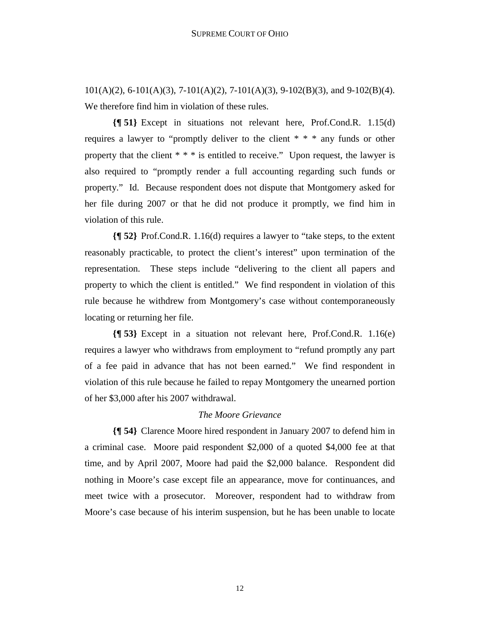101(A)(2), 6-101(A)(3), 7-101(A)(2), 7-101(A)(3), 9-102(B)(3), and 9-102(B)(4). We therefore find him in violation of these rules.

**{¶ 51}** Except in situations not relevant here, Prof.Cond.R. 1.15(d) requires a lawyer to "promptly deliver to the client \* \* \* any funds or other property that the client  $* * *$  is entitled to receive." Upon request, the lawyer is also required to "promptly render a full accounting regarding such funds or property." Id. Because respondent does not dispute that Montgomery asked for her file during 2007 or that he did not produce it promptly, we find him in violation of this rule.

**{¶ 52}** Prof.Cond.R. 1.16(d) requires a lawyer to "take steps, to the extent reasonably practicable, to protect the client's interest" upon termination of the representation. These steps include "delivering to the client all papers and property to which the client is entitled." We find respondent in violation of this rule because he withdrew from Montgomery's case without contemporaneously locating or returning her file.

**{¶ 53}** Except in a situation not relevant here, Prof.Cond.R. 1.16(e) requires a lawyer who withdraws from employment to "refund promptly any part of a fee paid in advance that has not been earned." We find respondent in violation of this rule because he failed to repay Montgomery the unearned portion of her \$3,000 after his 2007 withdrawal.

## *The Moore Grievance*

**{¶ 54}** Clarence Moore hired respondent in January 2007 to defend him in a criminal case. Moore paid respondent \$2,000 of a quoted \$4,000 fee at that time, and by April 2007, Moore had paid the \$2,000 balance. Respondent did nothing in Moore's case except file an appearance, move for continuances, and meet twice with a prosecutor. Moreover, respondent had to withdraw from Moore's case because of his interim suspension, but he has been unable to locate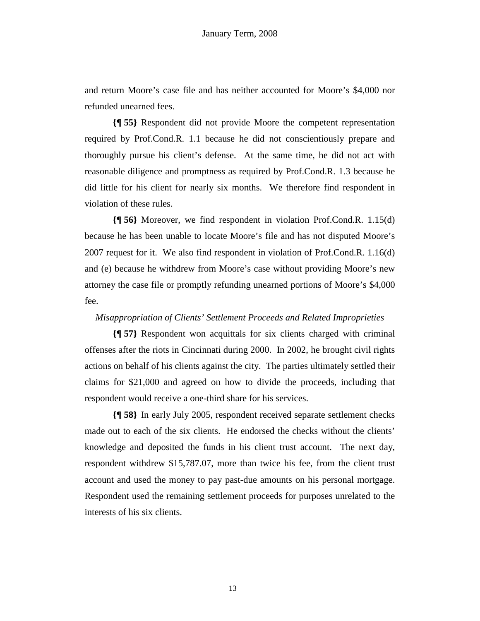and return Moore's case file and has neither accounted for Moore's \$4,000 nor refunded unearned fees.

**{¶ 55}** Respondent did not provide Moore the competent representation required by Prof.Cond.R. 1.1 because he did not conscientiously prepare and thoroughly pursue his client's defense. At the same time, he did not act with reasonable diligence and promptness as required by Prof.Cond.R. 1.3 because he did little for his client for nearly six months. We therefore find respondent in violation of these rules.

**{¶ 56}** Moreover, we find respondent in violation Prof.Cond.R. 1.15(d) because he has been unable to locate Moore's file and has not disputed Moore's 2007 request for it. We also find respondent in violation of Prof.Cond.R. 1.16(d) and (e) because he withdrew from Moore's case without providing Moore's new attorney the case file or promptly refunding unearned portions of Moore's \$4,000 fee.

## *Misappropriation of Clients' Settlement Proceeds and Related Improprieties*

**{¶ 57}** Respondent won acquittals for six clients charged with criminal offenses after the riots in Cincinnati during 2000. In 2002, he brought civil rights actions on behalf of his clients against the city. The parties ultimately settled their claims for \$21,000 and agreed on how to divide the proceeds, including that respondent would receive a one-third share for his services.

**{¶ 58}** In early July 2005, respondent received separate settlement checks made out to each of the six clients. He endorsed the checks without the clients' knowledge and deposited the funds in his client trust account. The next day, respondent withdrew \$15,787.07, more than twice his fee, from the client trust account and used the money to pay past-due amounts on his personal mortgage. Respondent used the remaining settlement proceeds for purposes unrelated to the interests of his six clients.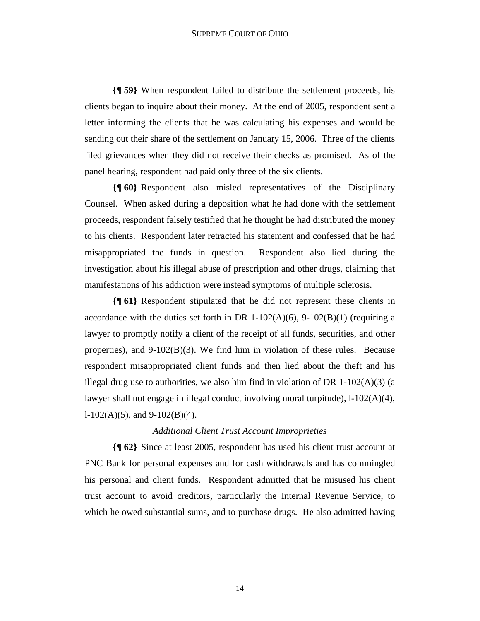**{¶ 59}** When respondent failed to distribute the settlement proceeds, his clients began to inquire about their money. At the end of 2005, respondent sent a letter informing the clients that he was calculating his expenses and would be sending out their share of the settlement on January 15, 2006. Three of the clients filed grievances when they did not receive their checks as promised. As of the panel hearing, respondent had paid only three of the six clients.

**{¶ 60}** Respondent also misled representatives of the Disciplinary Counsel. When asked during a deposition what he had done with the settlement proceeds, respondent falsely testified that he thought he had distributed the money to his clients. Respondent later retracted his statement and confessed that he had misappropriated the funds in question. Respondent also lied during the investigation about his illegal abuse of prescription and other drugs, claiming that manifestations of his addiction were instead symptoms of multiple sclerosis.

**{¶ 61}** Respondent stipulated that he did not represent these clients in accordance with the duties set forth in DR 1-102(A)(6), 9-102(B)(1) (requiring a lawyer to promptly notify a client of the receipt of all funds, securities, and other properties), and  $9-102(B)(3)$ . We find him in violation of these rules. Because respondent misappropriated client funds and then lied about the theft and his illegal drug use to authorities, we also him find in violation of DR  $1-102(A)(3)$  (a lawyer shall not engage in illegal conduct involving moral turpitude),  $1-102(A)(4)$ ,  $l-102(A)(5)$ , and  $9-102(B)(4)$ .

## *Additional Client Trust Account Improprieties*

**{¶ 62}** Since at least 2005, respondent has used his client trust account at PNC Bank for personal expenses and for cash withdrawals and has commingled his personal and client funds. Respondent admitted that he misused his client trust account to avoid creditors, particularly the Internal Revenue Service, to which he owed substantial sums, and to purchase drugs. He also admitted having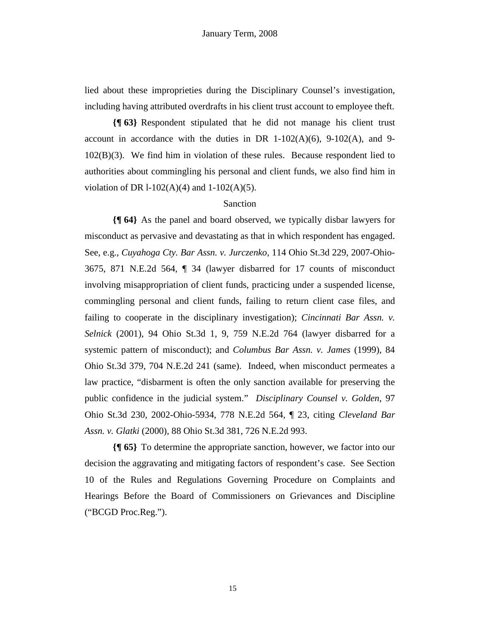lied about these improprieties during the Disciplinary Counsel's investigation, including having attributed overdrafts in his client trust account to employee theft.

**{¶ 63}** Respondent stipulated that he did not manage his client trust account in accordance with the duties in DR  $1-102(A)(6)$ ,  $9-102(A)$ , and  $9-$ 102(B)(3). We find him in violation of these rules. Because respondent lied to authorities about commingling his personal and client funds, we also find him in violation of DR  $1-102(A)(4)$  and  $1-102(A)(5)$ .

#### Sanction

**{¶ 64}** As the panel and board observed, we typically disbar lawyers for misconduct as pervasive and devastating as that in which respondent has engaged. See, e.g., *Cuyahoga Cty. Bar Assn. v. Jurczenko,* 114 Ohio St.3d 229, 2007-Ohio-3675, 871 N.E.2d 564, ¶ 34 (lawyer disbarred for 17 counts of misconduct involving misappropriation of client funds, practicing under a suspended license, commingling personal and client funds, failing to return client case files, and failing to cooperate in the disciplinary investigation); *Cincinnati Bar Assn. v. Selnick* (2001), 94 Ohio St.3d 1, 9, 759 N.E.2d 764 (lawyer disbarred for a systemic pattern of misconduct); and *Columbus Bar Assn. v. James* (1999), 84 Ohio St.3d 379, 704 N.E.2d 241 (same). Indeed, when misconduct permeates a law practice, "disbarment is often the only sanction available for preserving the public confidence in the judicial system." *Disciplinary Counsel v. Golden*, 97 Ohio St.3d 230, 2002-Ohio-5934, 778 N.E.2d 564, ¶ 23, citing *Cleveland Bar Assn. v. Glatki* (2000), 88 Ohio St.3d 381, 726 N.E.2d 993.

**{¶ 65}** To determine the appropriate sanction, however, we factor into our decision the aggravating and mitigating factors of respondent's case. See Section 10 of the Rules and Regulations Governing Procedure on Complaints and Hearings Before the Board of Commissioners on Grievances and Discipline ("BCGD Proc.Reg.").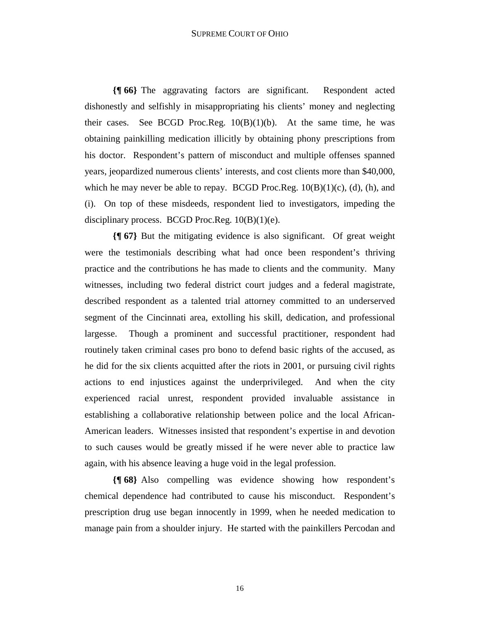**{¶ 66}** The aggravating factors are significant. Respondent acted dishonestly and selfishly in misappropriating his clients' money and neglecting their cases. See BCGD Proc.Reg. 10(B)(1)(b). At the same time, he was obtaining painkilling medication illicitly by obtaining phony prescriptions from his doctor. Respondent's pattern of misconduct and multiple offenses spanned years, jeopardized numerous clients' interests, and cost clients more than \$40,000, which he may never be able to repay. BCGD Proc.Reg.  $10(B)(1)(c)$ , (d), (h), and (i). On top of these misdeeds, respondent lied to investigators, impeding the disciplinary process. BCGD Proc.Reg.  $10(B)(1)(e)$ .

**{¶ 67}** But the mitigating evidence is also significant. Of great weight were the testimonials describing what had once been respondent's thriving practice and the contributions he has made to clients and the community. Many witnesses, including two federal district court judges and a federal magistrate, described respondent as a talented trial attorney committed to an underserved segment of the Cincinnati area, extolling his skill, dedication, and professional largesse. Though a prominent and successful practitioner, respondent had routinely taken criminal cases pro bono to defend basic rights of the accused, as he did for the six clients acquitted after the riots in 2001, or pursuing civil rights actions to end injustices against the underprivileged. And when the city experienced racial unrest, respondent provided invaluable assistance in establishing a collaborative relationship between police and the local African-American leaders. Witnesses insisted that respondent's expertise in and devotion to such causes would be greatly missed if he were never able to practice law again, with his absence leaving a huge void in the legal profession.

**{¶ 68}** Also compelling was evidence showing how respondent's chemical dependence had contributed to cause his misconduct. Respondent's prescription drug use began innocently in 1999, when he needed medication to manage pain from a shoulder injury. He started with the painkillers Percodan and

16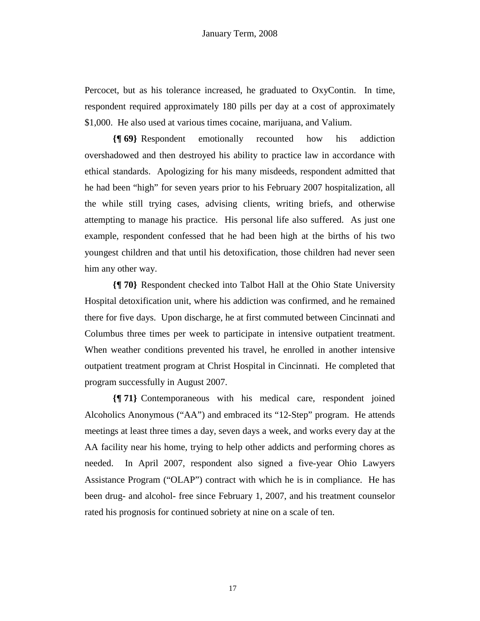Percocet, but as his tolerance increased, he graduated to OxyContin. In time, respondent required approximately 180 pills per day at a cost of approximately \$1,000. He also used at various times cocaine, marijuana, and Valium.

**{¶ 69}** Respondent emotionally recounted how his addiction overshadowed and then destroyed his ability to practice law in accordance with ethical standards. Apologizing for his many misdeeds, respondent admitted that he had been "high" for seven years prior to his February 2007 hospitalization, all the while still trying cases, advising clients, writing briefs, and otherwise attempting to manage his practice. His personal life also suffered. As just one example, respondent confessed that he had been high at the births of his two youngest children and that until his detoxification, those children had never seen him any other way.

**{¶ 70}** Respondent checked into Talbot Hall at the Ohio State University Hospital detoxification unit, where his addiction was confirmed, and he remained there for five days. Upon discharge, he at first commuted between Cincinnati and Columbus three times per week to participate in intensive outpatient treatment. When weather conditions prevented his travel, he enrolled in another intensive outpatient treatment program at Christ Hospital in Cincinnati. He completed that program successfully in August 2007.

**{¶ 71}** Contemporaneous with his medical care, respondent joined Alcoholics Anonymous ("AA") and embraced its "12-Step" program. He attends meetings at least three times a day, seven days a week, and works every day at the AA facility near his home, trying to help other addicts and performing chores as needed. In April 2007, respondent also signed a five-year Ohio Lawyers Assistance Program ("OLAP") contract with which he is in compliance. He has been drug- and alcohol- free since February 1, 2007, and his treatment counselor rated his prognosis for continued sobriety at nine on a scale of ten.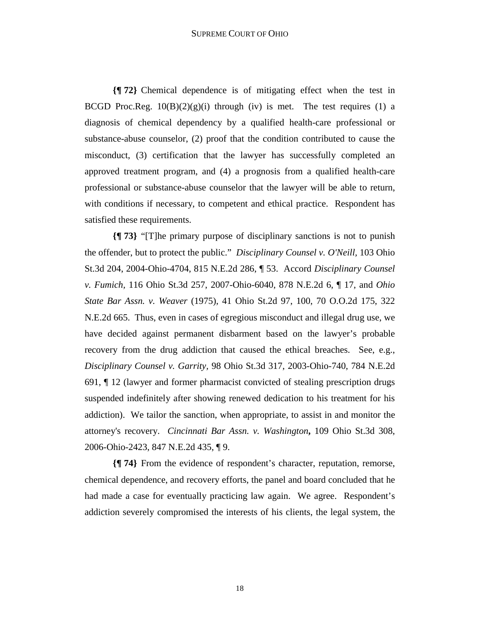**{¶ 72}** Chemical dependence is of mitigating effect when the test in BCGD Proc.Reg.  $10(B)(2)(g)(i)$  through (iv) is met. The test requires (1) a diagnosis of chemical dependency by a qualified health-care professional or substance-abuse counselor, (2) proof that the condition contributed to cause the misconduct, (3) certification that the lawyer has successfully completed an approved treatment program, and (4) a prognosis from a qualified health-care professional or substance-abuse counselor that the lawyer will be able to return, with conditions if necessary, to competent and ethical practice. Respondent has satisfied these requirements.

**{¶ 73}** "[T]he primary purpose of disciplinary sanctions is not to punish the offender, but to protect the public." *Disciplinary Counsel v. O'Neill,* 103 Ohio St.3d 204, 2004-Ohio-4704, 815 N.E.2d 286, ¶ 53. Accord *Disciplinary Counsel v. Fumich,* 116 Ohio St.3d 257, 2007-Ohio-6040, 878 N.E.2d 6, ¶ 17, and *Ohio State Bar Assn. v. Weaver* (1975), 41 Ohio St.2d 97, 100, 70 O.O.2d 175, 322 N.E.2d 665. Thus, even in cases of egregious misconduct and illegal drug use, we have decided against permanent disbarment based on the lawyer's probable recovery from the drug addiction that caused the ethical breaches. See, e.g., *Disciplinary Counsel v. Garrity,* 98 Ohio St.3d 317, 2003-Ohio-740, 784 N.E.2d 691, ¶ 12 (lawyer and former pharmacist convicted of stealing prescription drugs suspended indefinitely after showing renewed dedication to his treatment for his addiction). We tailor the sanction, when appropriate, to assist in and monitor the attorney's recovery. *Cincinnati Bar Assn. v. Washington***,** 109 Ohio St.3d 308, 2006-Ohio-2423, 847 N.E.2d 435, ¶ 9.

**{¶ 74}** From the evidence of respondent's character, reputation, remorse, chemical dependence, and recovery efforts, the panel and board concluded that he had made a case for eventually practicing law again. We agree. Respondent's addiction severely compromised the interests of his clients, the legal system, the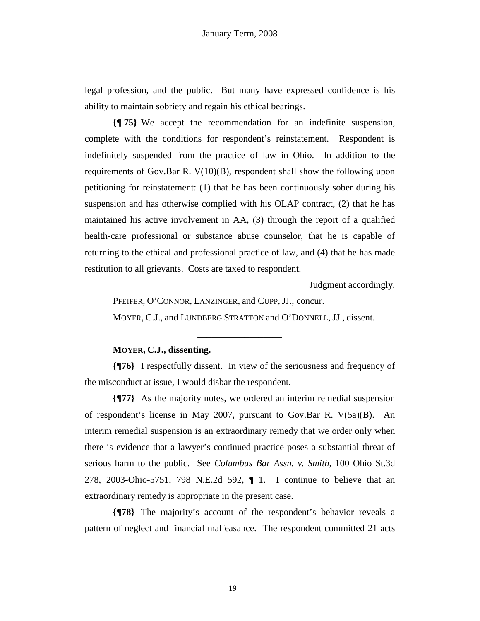legal profession, and the public. But many have expressed confidence is his ability to maintain sobriety and regain his ethical bearings.

**{¶ 75}** We accept the recommendation for an indefinite suspension, complete with the conditions for respondent's reinstatement. Respondent is indefinitely suspended from the practice of law in Ohio. In addition to the requirements of Gov.Bar R. V(10)(B), respondent shall show the following upon petitioning for reinstatement: (1) that he has been continuously sober during his suspension and has otherwise complied with his OLAP contract, (2) that he has maintained his active involvement in AA, (3) through the report of a qualified health-care professional or substance abuse counselor, that he is capable of returning to the ethical and professional practice of law, and (4) that he has made restitution to all grievants. Costs are taxed to respondent.

Judgment accordingly.

PFEIFER, O'CONNOR, LANZINGER, and CUPP, JJ., concur. MOYER, C.J., and LUNDBERG STRATTON and O'DONNELL, JJ., dissent.

\_\_\_\_\_\_\_\_\_\_\_\_\_\_\_\_\_\_

## **MOYER, C.J., dissenting.**

**{¶76}** I respectfully dissent. In view of the seriousness and frequency of the misconduct at issue, I would disbar the respondent.

**{¶77}** As the majority notes, we ordered an interim remedial suspension of respondent's license in May 2007, pursuant to Gov.Bar R. V(5a)(B). An interim remedial suspension is an extraordinary remedy that we order only when there is evidence that a lawyer's continued practice poses a substantial threat of serious harm to the public. See *Columbus Bar Assn. v. Smith*, 100 Ohio St.3d 278, 2003-Ohio-5751, 798 N.E.2d 592, ¶ 1. I continue to believe that an extraordinary remedy is appropriate in the present case.

**{¶78}** The majority's account of the respondent's behavior reveals a pattern of neglect and financial malfeasance. The respondent committed 21 acts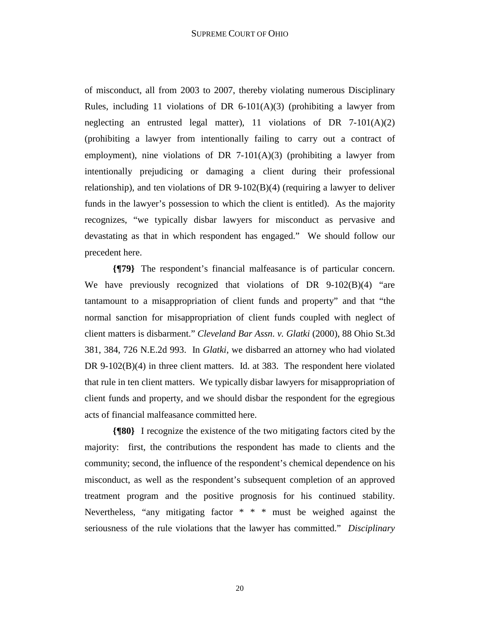of misconduct, all from 2003 to 2007, thereby violating numerous Disciplinary Rules, including 11 violations of DR  $6-101(A)(3)$  (prohibiting a lawyer from neglecting an entrusted legal matter), 11 violations of DR  $7-101(A)(2)$ (prohibiting a lawyer from intentionally failing to carry out a contract of employment), nine violations of DR 7-101(A)(3) (prohibiting a lawyer from intentionally prejudicing or damaging a client during their professional relationship), and ten violations of DR 9-102(B)(4) (requiring a lawyer to deliver funds in the lawyer's possession to which the client is entitled). As the majority recognizes, "we typically disbar lawyers for misconduct as pervasive and devastating as that in which respondent has engaged." We should follow our precedent here.

**{¶79}** The respondent's financial malfeasance is of particular concern. We have previously recognized that violations of DR 9-102(B)(4) "are tantamount to a misappropriation of client funds and property" and that "the normal sanction for misappropriation of client funds coupled with neglect of client matters is disbarment." *Cleveland Bar Assn. v. Glatki* (2000), 88 Ohio St.3d 381, 384, 726 N.E.2d 993. In *Glatki*, we disbarred an attorney who had violated DR 9-102(B)(4) in three client matters. Id. at 383. The respondent here violated that rule in ten client matters. We typically disbar lawyers for misappropriation of client funds and property, and we should disbar the respondent for the egregious acts of financial malfeasance committed here.

**{¶80}** I recognize the existence of the two mitigating factors cited by the majority: first, the contributions the respondent has made to clients and the community; second, the influence of the respondent's chemical dependence on his misconduct, as well as the respondent's subsequent completion of an approved treatment program and the positive prognosis for his continued stability. Nevertheless, "any mitigating factor \* \* \* must be weighed against the seriousness of the rule violations that the lawyer has committed." *Disciplinary*